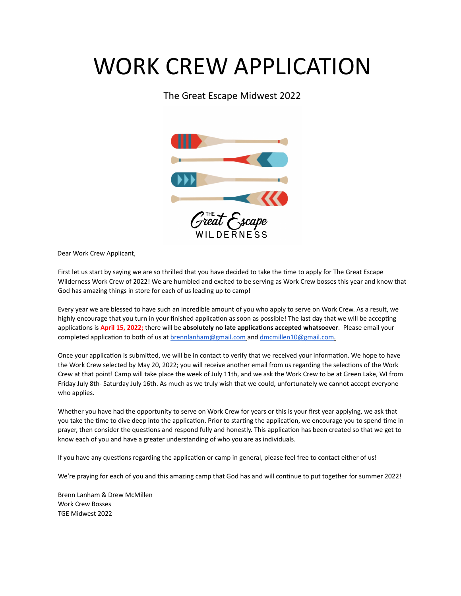#### The Great Escape Midwest 2022



Dear Work Crew Applicant,

First let us start by saying we are so thrilled that you have decided to take the time to apply for The Great Escape Wilderness Work Crew of 2022! We are humbled and excited to be serving as Work Crew bosses this year and know that God has amazing things in store for each of us leading up to camp!

Every year we are blessed to have such an incredible amount of you who apply to serve on Work Crew. As a result, we highly encourage that you turn in your finished application as soon as possible! The last day that we will be accepting applications is **April 15, 2022;** there will be **absolutely no late applications accepted whatsoever**. Please email your completed application to both of us at **brennlanham@gmail.com** and [dmcmillen10@gmail.com.](mailto:dmcmillen10@gmail.com)

Once your application is submitted, we will be in contact to verify that we received your information. We hope to have the Work Crew selected by May 20, 2022; you will receive another email from us regarding the selections of the Work Crew at that point! Camp will take place the week of July 11th, and we ask the Work Crew to be at Green Lake, WI from Friday July 8th- Saturday July 16th. As much as we truly wish that we could, unfortunately we cannot accept everyone who applies.

Whether you have had the opportunity to serve on Work Crew for years or this is your first year applying, we ask that you take the time to dive deep into the application. Prior to starting the application, we encourage you to spend time in prayer, then consider the questions and respond fully and honestly. This application has been created so that we get to know each of you and have a greater understanding of who you are as individuals.

If you have any questions regarding the application or camp in general, please feel free to contact either of us!

We're praying for each of you and this amazing camp that God has and will continue to put together for summer 2022!

Brenn Lanham & Drew McMillen Work Crew Bosses TGE Midwest 2022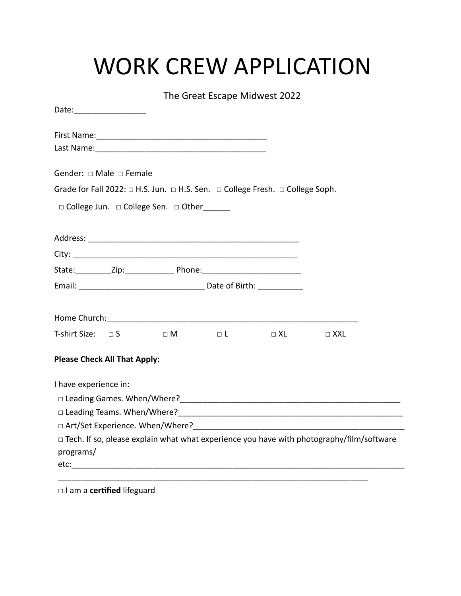|                                                                                                                                                                                                                              | The Great Escape Midwest 2022 |  |  |
|------------------------------------------------------------------------------------------------------------------------------------------------------------------------------------------------------------------------------|-------------------------------|--|--|
| Date: __________________                                                                                                                                                                                                     |                               |  |  |
|                                                                                                                                                                                                                              |                               |  |  |
|                                                                                                                                                                                                                              |                               |  |  |
| Gender: □ Male □ Female                                                                                                                                                                                                      |                               |  |  |
| Grade for Fall 2022: $\Box$ H.S. Jun. $\Box$ H.S. Sen. $\Box$ College Fresh. $\Box$ College Soph.                                                                                                                            |                               |  |  |
| □ College Jun. □ College Sen. □ Other                                                                                                                                                                                        |                               |  |  |
|                                                                                                                                                                                                                              |                               |  |  |
|                                                                                                                                                                                                                              |                               |  |  |
|                                                                                                                                                                                                                              |                               |  |  |
|                                                                                                                                                                                                                              |                               |  |  |
|                                                                                                                                                                                                                              |                               |  |  |
|                                                                                                                                                                                                                              |                               |  |  |
|                                                                                                                                                                                                                              |                               |  |  |
| T-shirt Size: $\Box$ S $\Box$ M                                                                                                                                                                                              |                               |  |  |
| <b>Please Check All That Apply:</b>                                                                                                                                                                                          |                               |  |  |
| I have experience in:                                                                                                                                                                                                        |                               |  |  |
|                                                                                                                                                                                                                              |                               |  |  |
|                                                                                                                                                                                                                              |                               |  |  |
| □ Art/Set Experience. When/Where? The access of the set of the set of the set of the set of the set of the set of the set of the set of the set of the set of the set of the set of the set of the set of the set of the set |                               |  |  |
| □ Tech. If so, please explain what what experience you have with photography/film/software                                                                                                                                   |                               |  |  |
| programs/                                                                                                                                                                                                                    |                               |  |  |
|                                                                                                                                                                                                                              |                               |  |  |

□ I am a **certified** lifeguard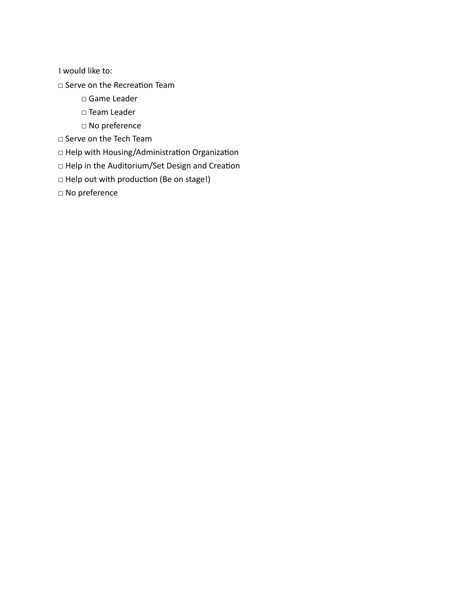I would like to:

□ Serve on the Recreation Team

- □ Game Leader
- □ Team Leader
- □ No preference
- □ Serve on the Tech Team

□ Help with Housing/Administration Organization

- □ Help in the Auditorium/Set Design and Creation
- □ Help out with production (Be on stage!)

□ No preference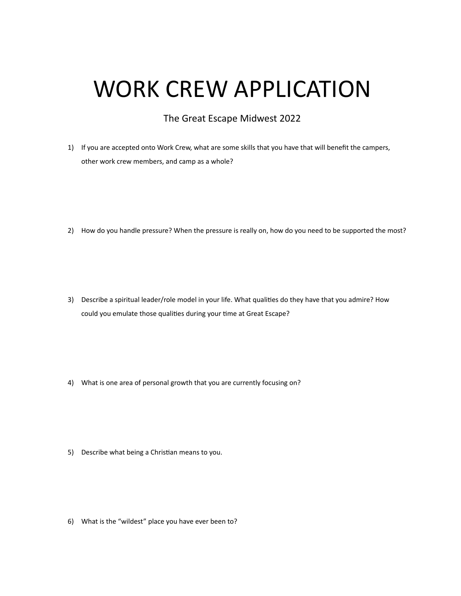#### The Great Escape Midwest 2022

1) If you are accepted onto Work Crew, what are some skills that you have that will benefit the campers, other work crew members, and camp as a whole?

2) How do you handle pressure? When the pressure is really on, how do you need to be supported the most?

3) Describe a spiritual leader/role model in your life. What qualities do they have that you admire? How could you emulate those qualities during your time at Great Escape?

4) What is one area of personal growth that you are currently focusing on?

5) Describe what being a Christian means to you.

6) What is the "wildest" place you have ever been to?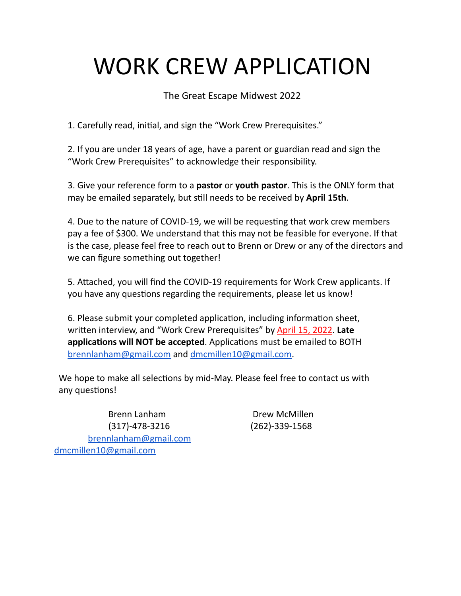The Great Escape Midwest 2022

1. Carefully read, initial, and sign the "Work Crew Prerequisites."

2. If you are under 18 years of age, have a parent or guardian read and sign the "Work Crew Prerequisites" to acknowledge their responsibility.

3. Give your reference form to a **pastor** or **youth pastor**. This is the ONLY form that may be emailed separately, but still needs to be received by **April 15th**.

4. Due to the nature of COVID-19, we will be requesting that work crew members pay a fee of \$300. We understand that this may not be feasible for everyone. If that is the case, please feel free to reach out to Brenn or Drew or any of the directors and we can figure something out together!

5. Attached, you will find the COVID-19 requirements for Work Crew applicants. If you have any questions regarding the requirements, please let us know!

6. Please submit your completed application, including information sheet, written interview, and "Work Crew Prerequisites" by April 15, 2022. **Late applications will NOT be accepted**. Applications must be emailed to BOTH brennlanham@gmail.com and dmcmillen10@gmail.com.

We hope to make all selections by mid-May. Please feel free to contact us with any questions!

Brenn Lanham Drew McMillen (317)-478-3216 (262)-339-1568 [brennlanham@gmail.com](mailto:brennlanham@gmail.com) dmcmillen10@gmail.com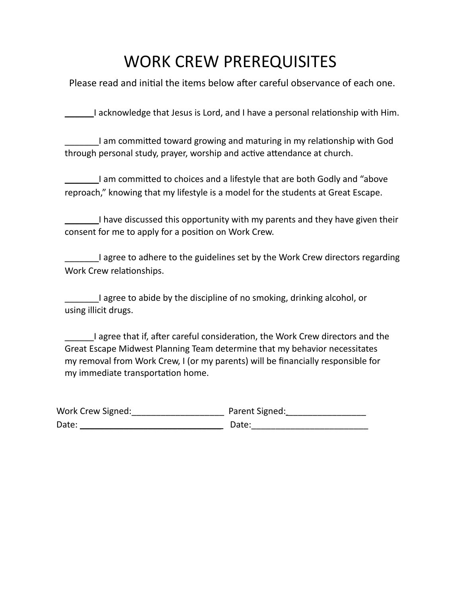### WORK CREW PREREQUISITES

Please read and initial the items below after careful observance of each one.

\_\_\_\_\_\_I acknowledge that Jesus is Lord, and I have a personal relationship with Him.

\_\_\_\_\_\_\_I am committed toward growing and maturing in my relationship with God through personal study, prayer, worship and active attendance at church.

\_\_\_\_\_\_\_I am committed to choices and a lifestyle that are both Godly and "above reproach," knowing that my lifestyle is a model for the students at Great Escape.

\_\_\_\_\_\_\_I have discussed this opportunity with my parents and they have given their consent for me to apply for a position on Work Crew.

\_\_\_\_\_\_\_I agree to adhere to the guidelines set by the Work Crew directors regarding Work Crew relationships.

\_\_\_\_\_\_\_I agree to abide by the discipline of no smoking, drinking alcohol, or using illicit drugs.

\_\_\_\_\_\_I agree that if, after careful consideration, the Work Crew directors and the Great Escape Midwest Planning Team determine that my behavior necessitates my removal from Work Crew, I (or my parents) will be financially responsible for my immediate transportation home.

| Work Crew Signed: | Parent Signed: |
|-------------------|----------------|
| Date:             | Date:          |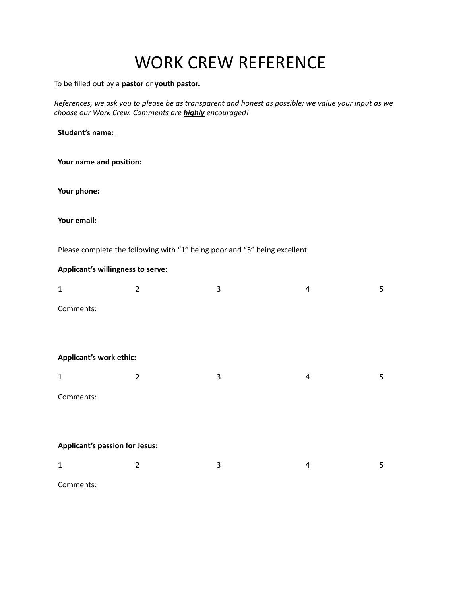## WORK CREW REFERENCE

To be filled out by a **pastor** or **youth pastor.**

*References, we ask you to please be as transparent and honest as possible; we value your input as we choose our Work Crew. Comments are highly encouraged!*

**Student's name:** 

**Your name and position:** 

**Your phone:**

**Your email:** 

Please complete the following with "1" being poor and "5" being excellent.

#### **Applicant's willingness to serve:**

| $\mathbf{1}$                          | $\overline{2}$ | 3 | 4              | 5 |
|---------------------------------------|----------------|---|----------------|---|
| Comments:                             |                |   |                |   |
|                                       |                |   |                |   |
|                                       |                |   |                |   |
| Applicant's work ethic:               |                |   |                |   |
| $\mathbf 1$                           | $\overline{2}$ | 3 | $\overline{a}$ | 5 |
| Comments:                             |                |   |                |   |
|                                       |                |   |                |   |
|                                       |                |   |                |   |
| <b>Applicant's passion for Jesus:</b> |                |   |                |   |
| $\mathbf{1}$                          | $\overline{2}$ | 3 | $\overline{4}$ | 5 |
| Comments:                             |                |   |                |   |